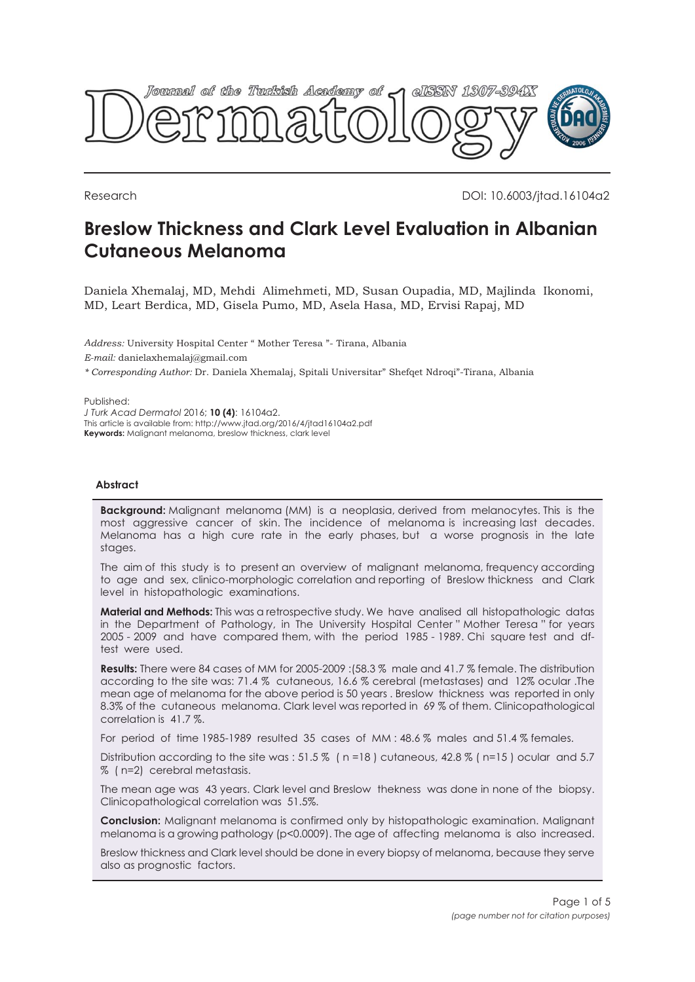

Research DOI: 10.6003/jtad.16104a2

# **Breslow Thickness and Clark Level Evaluation in Albanian Cutaneous Melanoma**

Daniela Xhemalaj, MD, Mehdi Alimehmeti, MD, Susan Oupadia, MD, Majlinda Ikonomi, MD, Leart Berdica, MD, Gisela Pumo, MD, Asela Hasa, MD, Ervisi Rapaj, MD

*Address:* University Hospital Center " Mother Teresa "- Tirana, Albania *E-mail:* danielaxhemalaj@gmail.com *\* Corresponding Author:* Dr. Daniela Xhemalaj, Spitali Universitar" Shefqet Ndroqi"-Tirana, Albania

Published:

*J Turk Acad Dermatol* 2016; **10 (4)**: 16104a2. This article is available from: http://www.jtad.org/2016/4/jtad16104a2.pdf **Keywords:** Malignant melanoma, breslow thickness, clark level

# **Abstract**

**Background:** Malignant melanoma (MM) is a neoplasia, derived from melanocytes. This is the most aggressive cancer of skin. The incidence of melanoma is increasing last decades. Melanoma has a high cure rate in the early phases, but a worse prognosis in the late stages.

The aim of this study is to present an overview of malignant melanoma, frequency according to age and sex, clinico-morphologic correlation and reporting of Breslow thickness and Clark level in histopathologic examinations.

**Material and Methods:** This was a retrospective study. We have analised all histopathologic datas in the Department of Pathology, in The University Hospital Center " Mother Teresa " for years 2005 - 2009 and have compared them, with the period 1985 - 1989. Chi square test and dftest were used.

**Results:** There were 84 cases of MM for 2005-2009 :(58.3 % male and 41.7 % female. The distribution according to the site was: 71.4 % cutaneous, 16.6 % cerebral (metastases) and 12% ocular .The mean age of melanoma for the above period is 50 years . Breslow thickness was reported in only 8.3% of the cutaneous melanoma. Clark level was reported in 69 % of them. Clinicopathological correlation is 41.7 %.

For period of time 1985-1989 resulted 35 cases of MM : 48.6 % males and 51.4 % females.

Distribution according to the site was : 51.5 % (n=18) cutaneous, 42.8 % (n=15) ocular and 5.7 % ( n=2) cerebral metastasis.

The mean age was 43 years. Clark level and Breslow thekness was done in none of the biopsy. Clinicopathological correlation was 51.5%.

**Conclusion:** Malignant melanoma is confirmed only by histopathologic examination. Malignant melanoma is a growing pathology (p<0.0009). The age of affecting melanoma is also increased.

Breslow thickness and Clark level should be done in every biopsy of melanoma, because they serve also as prognostic factors.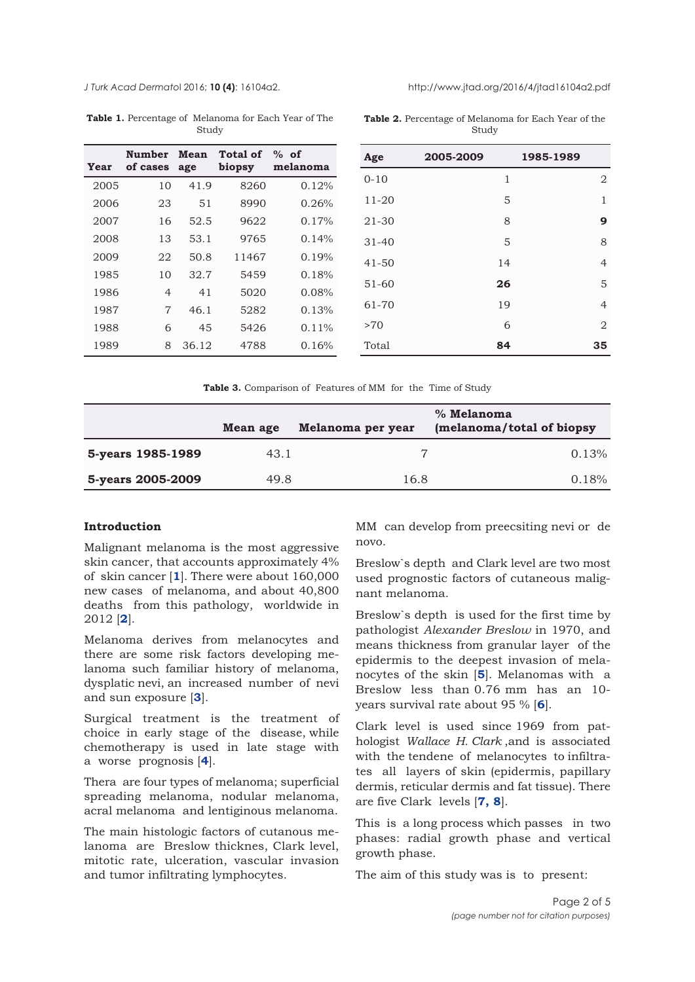<span id="page-1-0"></span>

**Table 1.** Percentage of Melanoma for Each Year of The Study

| Year | of cases | age   | Number Mean Total of % of<br>biopsy | melanoma |
|------|----------|-------|-------------------------------------|----------|
| 2005 | 10       | 41.9  | 8260                                | 0.12%    |
| 2006 | 23       | 51    | 8990                                | 0.26%    |
| 2007 | 16       | 52.5  | 9622                                | 0.17%    |
| 2008 | 13       | 53.1  | 9765                                | 0.14%    |
| 2009 | 22       | 50.8  | 11467                               | 0.19%    |
| 1985 | 10       | 32.7  | 5459                                | 0.18%    |
| 1986 | 4        | 41    | 5020                                | 0.08%    |
| 1987 | 7        | 46.1  | 5282                                | 0.13%    |
| 1988 | 6        | 45    | 5426                                | $0.11\%$ |
| 1989 | 8        | 36.12 | 4788                                | 0.16%    |

**Table 2.** Percentage of Melanoma for Each Year of the Study

| Age       | 2005-2009 |    | 1985-1989 |                |
|-----------|-----------|----|-----------|----------------|
| $0 - 10$  |           | 1  |           | 2              |
| $11 - 20$ |           | 5  |           | 1              |
| $21 - 30$ |           | 8  |           | 9              |
| $31 - 40$ |           | 5  |           | 8              |
| $41 - 50$ |           | 14 |           | $\overline{4}$ |
| $51 - 60$ |           | 26 |           | 5              |
| 61-70     |           | 19 |           | $\overline{4}$ |
| >70       |           | 6  |           | $\overline{2}$ |
| Total     |           | 84 |           | 35             |

**Table 3.** Comparison of Features of MM for the Time of Study

|                   | Mean age | Melanoma per year | % Melanoma<br>(melanoma/total of biopsy |
|-------------------|----------|-------------------|-----------------------------------------|
| 5-years 1985-1989 | 43.1     | 7                 | 0.13%                                   |
| 5-years 2005-2009 | 49.8     | 16.8              | 0.18%                                   |

# **Introduction**

Malignant melanoma is the most aggressive skin cancer, that accounts approximately 4% of skin cancer [**[1](#page-4-0)**]. There were about 160,000 new cases of melanoma, and about 40,800 deaths from this pathology, worldwide in 2012 [**[2](#page-4-0)**].

Melanoma derives from melanocytes and there are some risk factors developing melanoma such familiar history of melanoma, dysplatic nevi, an increased number of nevi and sun exposure [**[3](#page-4-0)**].

Surgical treatment is the treatment of choice in early stage of the disease, while chemotherapy is used in late stage with a worse prognosis [**[4](#page-4-0)**].

Thera are four types of melanoma; superficial spreading melanoma, nodular melanoma, acral melanoma and lentiginous melanoma.

The main histologic factors of cutanous melanoma are Breslow thicknes, Clark level, mitotic rate, ulceration, vascular invasion and tumor infiltrating lymphocytes.

MM can develop from preecsiting nevi or de novo.

Breslow`s depth and Clark level are two most used prognostic factors of cutaneous malignant melanoma.

Breslow`s depth is used for the first time by pathologist *Alexander Breslow* in 1970, and means thickness from granular layer of the epidermis to the deepest invasion of melanocytes of the skin [**[5](#page-4-0)**]. Melanomas with a Breslow less than 0.76 mm has an 10 years survival rate about 95 % [**[6](#page-4-0)**].

Clark level is used since 1969 from pathologist *Wallace H. Clark* ,and is associated with the tendene of melanocytes to infiltrates all layers of skin (epidermis, papillary dermis, reticular dermis and fat tissue). There are five Clark levels [**[7,](#page-4-0) [8](#page-4-0)**].

This is a long process which passes in two phases: radial growth phase and vertical growth phase.

The aim of this study was is to present: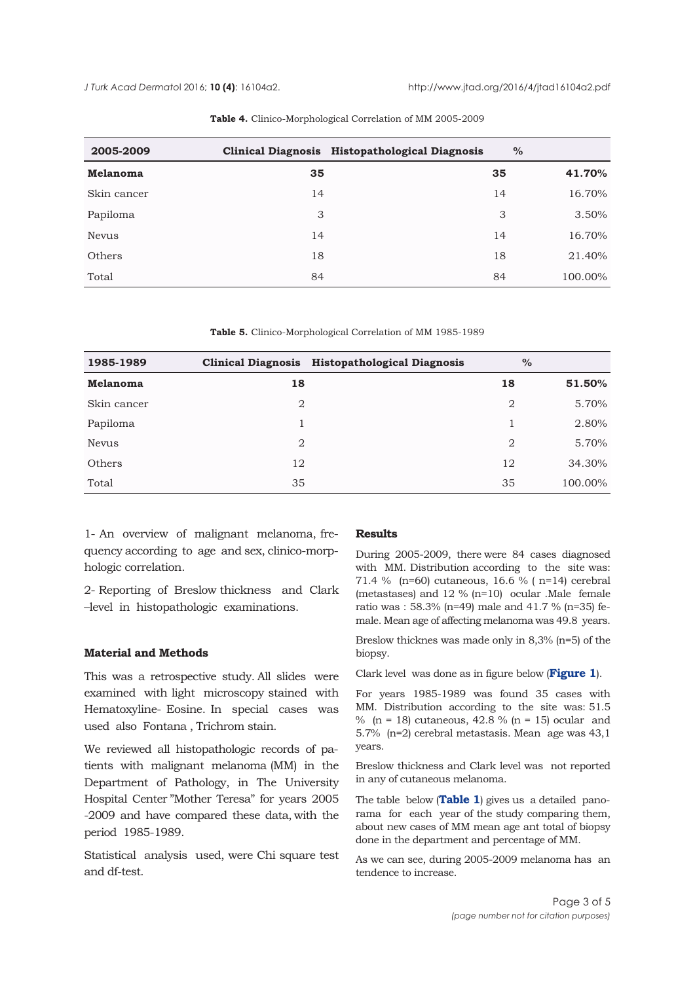<span id="page-2-0"></span>

| 2005-2009    |    | Clinical Diagnosis Histopathological Diagnosis | $\%$ |         |
|--------------|----|------------------------------------------------|------|---------|
| Melanoma     | 35 |                                                | 35   | 41.70%  |
| Skin cancer  | 14 |                                                | 14   | 16.70%  |
| Papiloma     | 3  |                                                | 3    | 3.50%   |
| <b>Nevus</b> | 14 |                                                | 14   | 16.70%  |
| Others       | 18 |                                                | 18   | 21.40%  |
| Total        | 84 |                                                | 84   | 100.00% |

#### **Table 4.** Clinico-Morphological Correlation of MM 2005-2009

**Table 5.** Clinico-Morphological Correlation of MM 1985-1989

| 1985-1989    |                | Clinical Diagnosis Histopathological Diagnosis |                | $\%$    |
|--------------|----------------|------------------------------------------------|----------------|---------|
| Melanoma     | 18             |                                                | 18             | 51.50%  |
| Skin cancer  | $\overline{2}$ |                                                | 2              | 5.70%   |
| Papiloma     |                |                                                |                | 2.80%   |
| <b>Nevus</b> | $\mathfrak{D}$ |                                                | $\mathfrak{D}$ | 5.70%   |
| Others       | 12             |                                                | 12             | 34.30%  |
| Total        | 35             |                                                | 35             | 100.00% |

1- An overview of malignant melanoma, frequency according to age and sex, clinico-morphologic correlation.

2- Reporting of Breslow thickness and Clark –level in histopathologic examinations.

# **Material and Methods**

This was a retrospective study. All slides were examined with light microscopy stained with Hematoxyline- Eosine. In special cases was used also Fontana , Trichrom stain.

We reviewed all histopathologic records of patients with malignant melanoma (MM) in the Department of Pathology, in The University Hospital Center "Mother Teresa" for years 2005 -2009 and have compared these data, with the period 1985-1989.

Statistical analysis used, were Chi square test and df-test.

#### **Results**

During 2005-2009, there were 84 cases diagnosed with MM. Distribution according to the site was: 71.4 % (n=60) cutaneous, 16.6 % ( n=14) cerebral (metastases) and 12 % (n=10) ocular .Male female ratio was : 58.3% (n=49) male and 41.7 % (n=35) female. Mean age of affecting melanoma was 49.8 years.

Breslow thicknes was made only in 8,3% (n=5) of the biopsy.

Clark level was done as in figure below (**[Figure 1](#page-3-0)**).

For years 1985-1989 was found 35 cases with MM. Distribution according to the site was: 51.5 % ( $n = 18$ ) cutaneous, 42.8 % ( $n = 15$ ) ocular and 5.7% (n=2) cerebral metastasis. Mean age was 43,1 years.

Breslow thickness and Clark level was not reported in any of cutaneous melanoma.

The table below (**[Table 1](#page-1-0)**) gives us a detailed panorama for each year of the study comparing them, about new cases of MM mean age ant total of biopsy done in the department and percentage of MM.

As we can see, during 2005-2009 melanoma has an tendence to increase.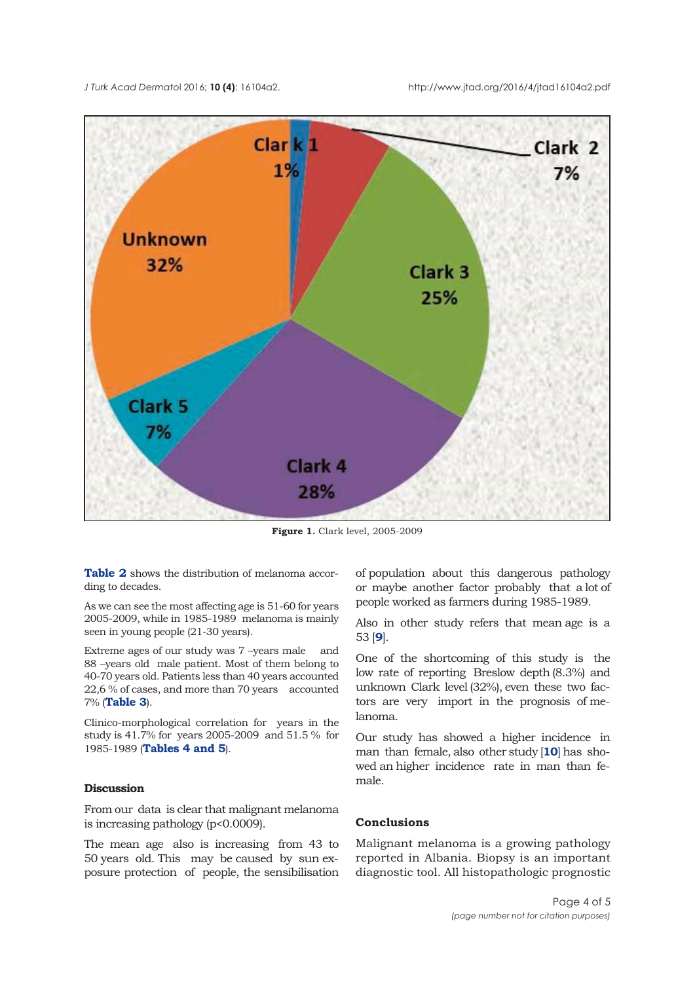<span id="page-3-0"></span>*J Turk Acad Dermato*l 2016; **10 (4)**: 16104a2. http://www.jtad.org/2016/4/jtad16104a2.pdf



**Figure 1.** Clark level, 2005-2009

**[Table 2](#page-1-0)** shows the distribution of melanoma according to decades.

As we can see the most affecting age is 51-60 for years 2005-2009, while in 1985-1989 melanoma is mainly seen in young people (21-30 years).

Extreme ages of our study was 7 –years male and 88 –years old male patient. Most of them belong to 40-70 years old. Patients less than 40 years accounted 22,6 % of cases, and more than 70 years accounted 7% (**[Table 3](#page-1-0)**).

Clinico-morphological correlation for years in the study is 41.7% for years 2005-2009 and 51.5 % for 1985-1989 (**[Tables 4](#page-2-0) and [5](#page-2-0)**).

# **Discussion**

From our data is clear that malignant melanoma is increasing pathology (p<0.0009).

The mean age also is increasing from 43 to 50 years old. This may be caused by sun exposure protection of people, the sensibilisation of population about this dangerous pathology or maybe another factor probably that a lot of people worked as farmers during 1985-1989.

Also in other study refers that mean age is a 53 [**[9](#page-4-0)**].

One of the shortcoming of this study is the low rate of reporting Breslow depth (8.3%) and unknown Clark level (32%), even these two factors are very import in the prognosis of melanoma.

Our study has showed a higher incidence in man than female, also other study [**[10](#page-4-0)**] has showed an higher incidence rate in man than female.

### **Conclusions**

Malignant melanoma is a growing pathology reported in Albania. Biopsy is an important diagnostic tool. All histopathologic prognostic